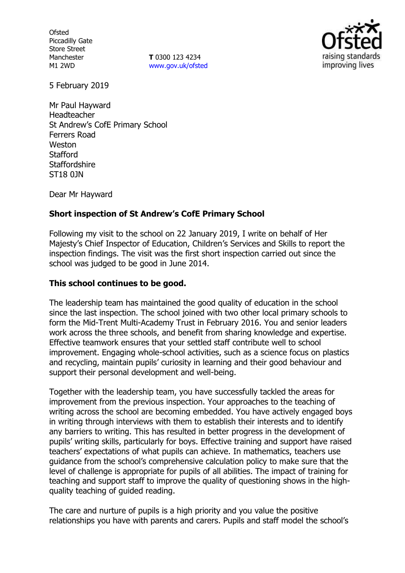**Ofsted** Piccadilly Gate Store Street Manchester M1 2WD

**T** 0300 123 4234 www.gov.uk/ofsted



5 February 2019

Mr Paul Hayward Headteacher St Andrew's CofE Primary School Ferrers Road Weston **Stafford Staffordshire** ST18 0JN

Dear Mr Hayward

## **Short inspection of St Andrew's CofE Primary School**

Following my visit to the school on 22 January 2019, I write on behalf of Her Majesty's Chief Inspector of Education, Children's Services and Skills to report the inspection findings. The visit was the first short inspection carried out since the school was judged to be good in June 2014.

## **This school continues to be good.**

The leadership team has maintained the good quality of education in the school since the last inspection. The school joined with two other local primary schools to form the Mid-Trent Multi-Academy Trust in February 2016. You and senior leaders work across the three schools, and benefit from sharing knowledge and expertise. Effective teamwork ensures that your settled staff contribute well to school improvement. Engaging whole-school activities, such as a science focus on plastics and recycling, maintain pupils' curiosity in learning and their good behaviour and support their personal development and well-being.

Together with the leadership team, you have successfully tackled the areas for improvement from the previous inspection. Your approaches to the teaching of writing across the school are becoming embedded. You have actively engaged boys in writing through interviews with them to establish their interests and to identify any barriers to writing. This has resulted in better progress in the development of pupils' writing skills, particularly for boys. Effective training and support have raised teachers' expectations of what pupils can achieve. In mathematics, teachers use guidance from the school's comprehensive calculation policy to make sure that the level of challenge is appropriate for pupils of all abilities. The impact of training for teaching and support staff to improve the quality of questioning shows in the highquality teaching of guided reading.

The care and nurture of pupils is a high priority and you value the positive relationships you have with parents and carers. Pupils and staff model the school's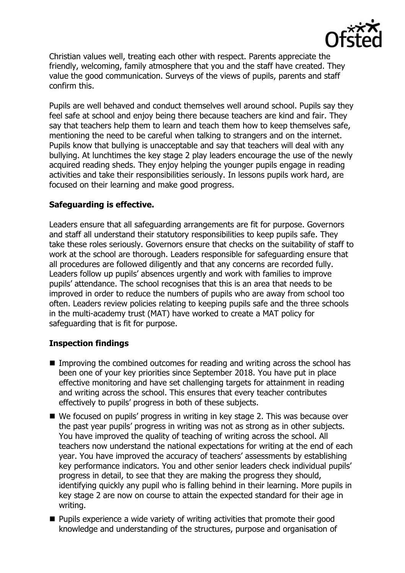

Christian values well, treating each other with respect. Parents appreciate the friendly, welcoming, family atmosphere that you and the staff have created. They value the good communication. Surveys of the views of pupils, parents and staff confirm this.

Pupils are well behaved and conduct themselves well around school. Pupils say they feel safe at school and enjoy being there because teachers are kind and fair. They say that teachers help them to learn and teach them how to keep themselves safe, mentioning the need to be careful when talking to strangers and on the internet. Pupils know that bullying is unacceptable and say that teachers will deal with any bullying. At lunchtimes the key stage 2 play leaders encourage the use of the newly acquired reading sheds. They enjoy helping the younger pupils engage in reading activities and take their responsibilities seriously. In lessons pupils work hard, are focused on their learning and make good progress.

## **Safeguarding is effective.**

Leaders ensure that all safeguarding arrangements are fit for purpose. Governors and staff all understand their statutory responsibilities to keep pupils safe. They take these roles seriously. Governors ensure that checks on the suitability of staff to work at the school are thorough. Leaders responsible for safeguarding ensure that all procedures are followed diligently and that any concerns are recorded fully. Leaders follow up pupils' absences urgently and work with families to improve pupils' attendance. The school recognises that this is an area that needs to be improved in order to reduce the numbers of pupils who are away from school too often. Leaders review policies relating to keeping pupils safe and the three schools in the multi-academy trust (MAT) have worked to create a MAT policy for safeguarding that is fit for purpose.

# **Inspection findings**

- Improving the combined outcomes for reading and writing across the school has been one of your key priorities since September 2018. You have put in place effective monitoring and have set challenging targets for attainment in reading and writing across the school. This ensures that every teacher contributes effectively to pupils' progress in both of these subjects.
- We focused on pupils' progress in writing in key stage 2. This was because over the past year pupils' progress in writing was not as strong as in other subjects. You have improved the quality of teaching of writing across the school. All teachers now understand the national expectations for writing at the end of each year. You have improved the accuracy of teachers' assessments by establishing key performance indicators. You and other senior leaders check individual pupils' progress in detail, to see that they are making the progress they should, identifying quickly any pupil who is falling behind in their learning. More pupils in key stage 2 are now on course to attain the expected standard for their age in writing.
- **Pupils experience a wide variety of writing activities that promote their good** knowledge and understanding of the structures, purpose and organisation of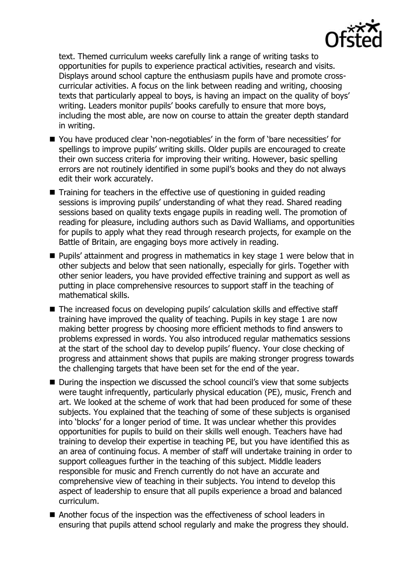

text. Themed curriculum weeks carefully link a range of writing tasks to opportunities for pupils to experience practical activities, research and visits. Displays around school capture the enthusiasm pupils have and promote crosscurricular activities. A focus on the link between reading and writing, choosing texts that particularly appeal to boys, is having an impact on the quality of boys' writing. Leaders monitor pupils' books carefully to ensure that more boys, including the most able, are now on course to attain the greater depth standard in writing.

- You have produced clear 'non-negotiables' in the form of 'bare necessities' for spellings to improve pupils' writing skills. Older pupils are encouraged to create their own success criteria for improving their writing. However, basic spelling errors are not routinely identified in some pupil's books and they do not always edit their work accurately.
- $\blacksquare$  Training for teachers in the effective use of questioning in quided reading sessions is improving pupils' understanding of what they read. Shared reading sessions based on quality texts engage pupils in reading well. The promotion of reading for pleasure, including authors such as David Walliams, and opportunities for pupils to apply what they read through research projects, for example on the Battle of Britain, are engaging boys more actively in reading.
- Pupils' attainment and progress in mathematics in key stage 1 were below that in other subjects and below that seen nationally, especially for girls. Together with other senior leaders, you have provided effective training and support as well as putting in place comprehensive resources to support staff in the teaching of mathematical skills.
- The increased focus on developing pupils' calculation skills and effective staff training have improved the quality of teaching. Pupils in key stage 1 are now making better progress by choosing more efficient methods to find answers to problems expressed in words. You also introduced regular mathematics sessions at the start of the school day to develop pupils' fluency. Your close checking of progress and attainment shows that pupils are making stronger progress towards the challenging targets that have been set for the end of the year.
- During the inspection we discussed the school council's view that some subjects were taught infrequently, particularly physical education (PE), music, French and art. We looked at the scheme of work that had been produced for some of these subjects. You explained that the teaching of some of these subjects is organised into 'blocks' for a longer period of time. It was unclear whether this provides opportunities for pupils to build on their skills well enough. Teachers have had training to develop their expertise in teaching PE, but you have identified this as an area of continuing focus. A member of staff will undertake training in order to support colleagues further in the teaching of this subject. Middle leaders responsible for music and French currently do not have an accurate and comprehensive view of teaching in their subjects. You intend to develop this aspect of leadership to ensure that all pupils experience a broad and balanced curriculum.
- Another focus of the inspection was the effectiveness of school leaders in ensuring that pupils attend school regularly and make the progress they should.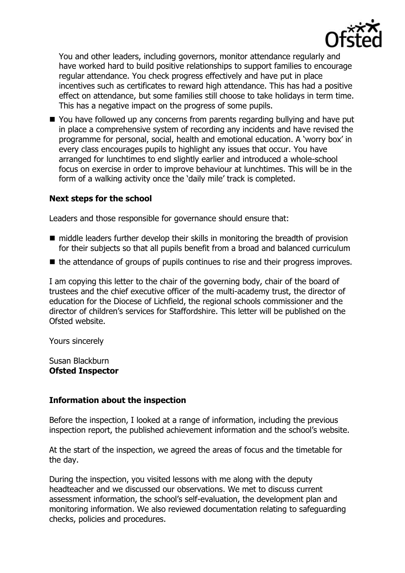

You and other leaders, including governors, monitor attendance regularly and have worked hard to build positive relationships to support families to encourage regular attendance. You check progress effectively and have put in place incentives such as certificates to reward high attendance. This has had a positive effect on attendance, but some families still choose to take holidays in term time. This has a negative impact on the progress of some pupils.

■ You have followed up any concerns from parents regarding bullying and have put in place a comprehensive system of recording any incidents and have revised the programme for personal, social, health and emotional education. A 'worry box' in every class encourages pupils to highlight any issues that occur. You have arranged for lunchtimes to end slightly earlier and introduced a whole-school focus on exercise in order to improve behaviour at lunchtimes. This will be in the form of a walking activity once the 'daily mile' track is completed.

### **Next steps for the school**

Leaders and those responsible for governance should ensure that:

- $\blacksquare$  middle leaders further develop their skills in monitoring the breadth of provision for their subjects so that all pupils benefit from a broad and balanced curriculum
- $\blacksquare$  the attendance of groups of pupils continues to rise and their progress improves.

I am copying this letter to the chair of the governing body, chair of the board of trustees and the chief executive officer of the multi-academy trust, the director of education for the Diocese of Lichfield, the regional schools commissioner and the director of children's services for Staffordshire. This letter will be published on the Ofsted website.

Yours sincerely

Susan Blackburn **Ofsted Inspector**

#### **Information about the inspection**

Before the inspection, I looked at a range of information, including the previous inspection report, the published achievement information and the school's website.

At the start of the inspection, we agreed the areas of focus and the timetable for the day.

During the inspection, you visited lessons with me along with the deputy headteacher and we discussed our observations. We met to discuss current assessment information, the school's self-evaluation, the development plan and monitoring information. We also reviewed documentation relating to safeguarding checks, policies and procedures.